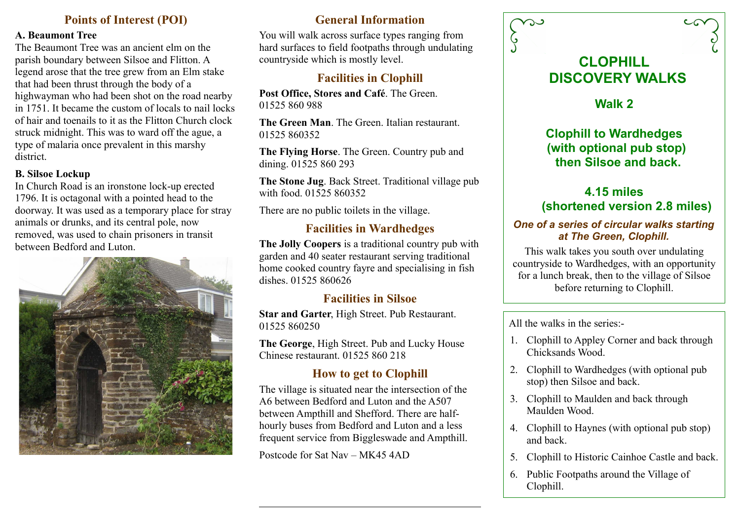### **Points of Interest (POI)**

#### **A. Beaumont Tree**

The Beaumont Tree was an ancient elm on the parish boundary between Silsoe and Flitton. A legend arose that the tree grew from an Elm stake that had been thrust through the body of a highwayman who had been shot on the road nearby in 1751. It became the custom of locals to nail locks of hair and toenails to it as the Flitton Church clock struck midnight. This was to ward off the ague, a type of malaria once prevalent in this marshy district.

#### **B. Silsoe Lockup**

In Church Road is an ironstone lock-up erected 1796. It is octagonal with a pointed head to the doorway. It was used as a temporary place for stray animals or drunks, and its central pole, now removed, was used to chain prisoners in transit between Bedford and Luton.



### **General Information**

You will walk across surface types ranging from hard surfaces to field footpaths through undulating countryside which is mostly level.

# **Facilities in Clophill**

**Post Office, Stores and Café**. The Green. 01525 860 988

**The Green Man**. The Green. Italian restaurant. 01525 860352

**The Flying Horse**. The Green. Country pub and dining. 01525 860 293

**The Stone Jug**. Back Street. Traditional village pub with food. 01525 860352

There are no public toilets in the village.

## **Facilities in Wardhedges**

**The Jolly Coopers** is a traditional country pub with garden and 40 seater restaurant serving traditional home cooked country fayre and specialising in fish dishes. 01525 860626

## **Facilities in Silsoe**

**Star and Garter**, High Street. Pub Restaurant. 01525 860250

**The George**, High Street. Pub and Lucky House Chinese restaurant. 01525 860 218

# **How to get to Clophill**

The village is situated near the intersection of the A6 between Bedford and Luton and the A507 between Ampthill and Shefford. There are halfhourly buses from Bedford and Luton and a less frequent service from Biggleswade and Ampthill.

Postcode for Sat Nav – MK45 4AD



# **CLOPHILL DISCOVERY WALKS**

## **Walk 2**

## **Clophill to Wardhedges (with optional pub stop) then Silsoe and back.**

# **4.15 miles (shortened version 2.8 miles)**

#### *One of a series of circular walks starting at The Green, Clophill.*

This walk takes you south over undulating countryside to Wardhedges, with an opportunity for a lunch break, then to the village of Silsoe before returning to Clophill.

All the walks in the series:-

- 1. Clophill to Appley Corner and back through Chicksands Wood.
- 2. Clophill to Wardhedges (with optional pub stop) then Silsoe and back.
- 3. Clophill to Maulden and back through Maulden Wood.
- 4. Clophill to Haynes (with optional pub stop) and back.
- 5. Clophill to Historic Cainhoe Castle and back.
- 6. Public Footpaths around the Village of Clophill.